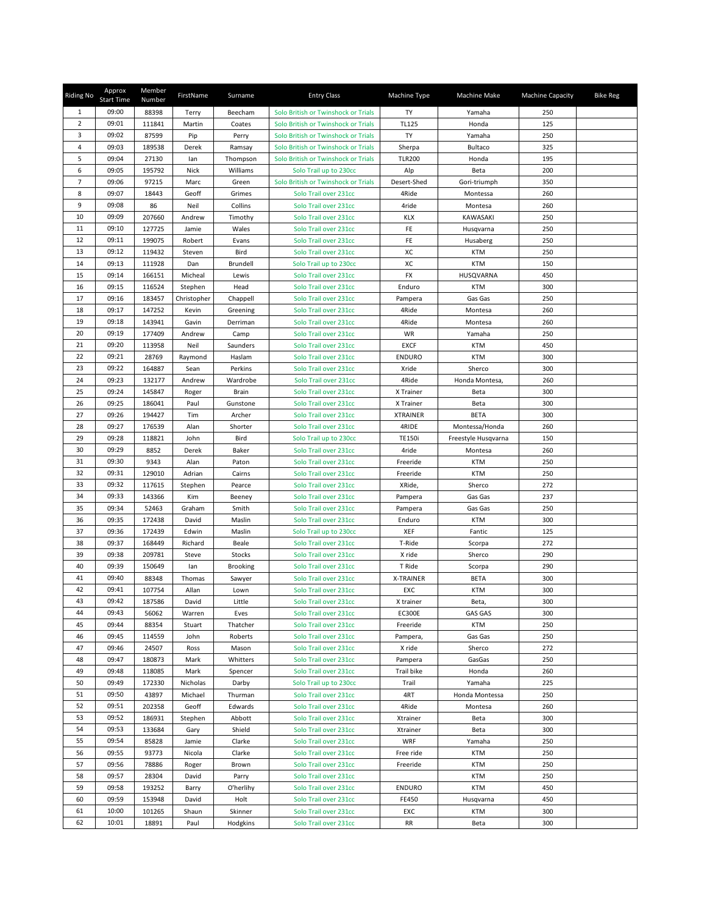| <b>Riding No</b> | Approx<br><b>Start Time</b> | Member<br>Number | FirstName      | Surname            | <b>Entry Class</b>                             | Machine Type    | Machine Make        | <b>Machine Capacity</b> | <b>Bike Reg</b> |
|------------------|-----------------------------|------------------|----------------|--------------------|------------------------------------------------|-----------------|---------------------|-------------------------|-----------------|
| 1                | 09:00                       | 88398            | Terry          | Beecham            | Solo British or Twinshock or Trials            | TY              | Yamaha              | 250                     |                 |
| $\overline{2}$   | 09:01                       | 111841           | Martin         | Coates             | Solo British or Twinshock or Trials            | <b>TL125</b>    | Honda               | 125                     |                 |
| 3                | 09:02                       | 87599            | Pip            | Perry              | Solo British or Twinshock or Trials            | TY              | Yamaha              | 250                     |                 |
| 4                | 09:03                       | 189538           | Derek          | Ramsay             | Solo British or Twinshock or Trials            | Sherpa          | Bultaco             | 325                     |                 |
| 5                | 09:04                       | 27130            | lan            | Thompson           | Solo British or Twinshock or Trials            | <b>TLR200</b>   | Honda               | 195                     |                 |
| 6                | 09:05                       | 195792           | Nick           | Williams           | Solo Trail up to 230cc                         | Alp             | Beta                | 200                     |                 |
| $\overline{7}$   | 09:06                       | 97215            | Marc           | Green              | Solo British or Twinshock or Trials            | Desert-Shed     | Gori-triumph        | 350                     |                 |
| 8                | 09:07                       | 18443            | Geoff          | Grimes             | Solo Trail over 231cc                          | 4Ride           | Montessa            | 260                     |                 |
| 9                | 09:08                       | 86               | Neil           | Collins            | Solo Trail over 231cc                          | 4ride           | Montesa             | 260                     |                 |
| 10               | 09:09                       | 207660           | Andrew         | Timothy            | Solo Trail over 231cc                          | <b>KLX</b>      | KAWASAKI            | 250                     |                 |
| 11               | 09:10                       | 127725           | Jamie          | Wales              | Solo Trail over 231cc                          | FE              | Husqvarna           | 250                     |                 |
| 12               | 09:11                       | 199075           | Robert         | Evans              | Solo Trail over 231cc                          | FE              | Husaberg            | 250                     |                 |
| 13               | 09:12                       | 119432           | Steven         | Bird               | Solo Trail over 231cc                          | хc              | <b>KTM</b>          | 250                     |                 |
| 14               | 09:13                       | 111928           | Dan            | Brundell           | Solo Trail up to 230cc                         | ХC              | <b>KTM</b>          | 150                     |                 |
| 15               | 09:14                       | 166151           | Micheal        | Lewis              | Solo Trail over 231cc                          | FX              | HUSQVARNA           | 450                     |                 |
| 16               | 09:15                       | 116524           | Stephen        | Head               | Solo Trail over 231cc                          | Enduro          | <b>KTM</b>          | 300                     |                 |
| 17               | 09:16                       | 183457           | Christopher    | Chappell           | Solo Trail over 231cc                          | Pampera         | Gas Gas             | 250                     |                 |
| 18               | 09:17                       | 147252           | Kevin          | Greening           | Solo Trail over 231cc                          | 4Ride           | Montesa             | 260                     |                 |
| 19               | 09:18                       | 143941           | Gavin          | Derriman           | Solo Trail over 231cc                          | 4Ride           | Montesa             | 260                     |                 |
| 20               | 09:19                       | 177409           | Andrew         | Camp               | Solo Trail over 231cc                          | WR              | Yamaha              | 250                     |                 |
| 21               | 09:20                       | 113958           | Neil           | Saunders           | Solo Trail over 231cc                          | <b>EXCF</b>     | <b>KTM</b>          | 450                     |                 |
| 22               | 09:21                       | 28769            | Raymond        | Haslam             | Solo Trail over 231cc                          | <b>ENDURO</b>   | <b>KTM</b>          | 300                     |                 |
| 23               | 09:22                       | 164887           | Sean           | Perkins            | Solo Trail over 231cc                          | Xride           | Sherco              | 300                     |                 |
| 24               | 09:23                       | 132177           | Andrew         | Wardrobe           | Solo Trail over 231cc                          | 4Ride           | Honda Montesa,      | 260                     |                 |
| 25               | 09:24                       | 145847           | Roger          | Brain              | Solo Trail over 231cc                          | X Trainer       | Beta                | 300                     |                 |
| 26               | 09:25                       | 186041           | Paul           | Gunstone           | Solo Trail over 231cc                          | X Trainer       | Beta                | 300                     |                 |
| 27               | 09:26                       | 194427           | Tim            | Archer             | Solo Trail over 231cc                          | <b>XTRAINER</b> | <b>BETA</b>         | 300                     |                 |
| 28               | 09:27                       | 176539           | Alan           | Shorter            | Solo Trail over 231cc                          | 4RIDE           | Montessa/Honda      | 260                     |                 |
| 29               | 09:28                       | 118821           | John           | Bird               | Solo Trail up to 230cc                         | <b>TE150i</b>   | Freestyle Husqvarna | 150                     |                 |
| 30               | 09:29                       | 8852             | Derek          | Baker              | Solo Trail over 231cc                          | 4ride           | Montesa             | 260                     |                 |
| 31               | 09:30                       | 9343             | Alan           | Paton              | Solo Trail over 231cc                          | Freeride        | <b>KTM</b>          | 250                     |                 |
| 32               | 09:31                       | 129010           | Adrian         | Cairns             | Solo Trail over 231cc                          | Freeride        | <b>KTM</b>          | 250                     |                 |
| 33               | 09:32                       | 117615           | Stephen        | Pearce             | Solo Trail over 231cc                          | XRide,          | Sherco              | 272                     |                 |
| 34               | 09:33                       | 143366           | Kim            | Beeney             | Solo Trail over 231cc                          | Pampera         | Gas Gas             | 237                     |                 |
| 35               | 09:34                       | 52463            | Graham         | Smith              | Solo Trail over 231cc                          | Pampera         | Gas Gas             | 250                     |                 |
| 36               | 09:35                       | 172438           | David          | Maslin             | Solo Trail over 231cc                          | Enduro          | <b>KTM</b>          | 300                     |                 |
| 37               | 09:36                       | 172439           | Edwin          | Maslin             | Solo Trail up to 230cc                         | XEF             | Fantic              | 125                     |                 |
| 38               | 09:37                       | 168449           | Richard        | Beale              | Solo Trail over 231cc                          | T-Ride          | Scorpa              | 272                     |                 |
| 39               | 09:38                       | 209781           | Steve          | Stocks             | Solo Trail over 231cc                          | X ride          | Sherco              | 290                     |                 |
| 40               | 09:39                       | 150649           | lan            | <b>Brooking</b>    | Solo Trail over 231cc                          | T Ride          | Scorpa              | 290                     |                 |
| 41               | 09:40                       | 88348            | Thomas         | Sawyer             | Solo Trail over 231cc                          | X-TRAINER       | <b>BETA</b>         | 300                     |                 |
| 42               | 09:41                       | 107754           | Allan          | Lown               | Solo Trail over 231cc                          | EXC             | <b>KTM</b>          | 300                     |                 |
| 43               | 09:42                       | 187586           | David          | Little             | Solo Trail over 231cc                          | X trainer       | Beta,               | 300                     |                 |
| 44               | 09:43                       | 56062            | Warren         | Eves               | Solo Trail over 231cc                          | <b>EC300E</b>   | <b>GAS GAS</b>      | 300                     |                 |
| 45               | 09:44                       | 88354            | Stuart         | Thatcher           | Solo Trail over 231cc                          | Freeride        | <b>KTM</b>          | 250                     |                 |
| 46               | 09:45                       | 114559           | John           | Roberts            | Solo Trail over 231cc                          | Pampera,        | Gas Gas             | 250                     |                 |
| 47               | 09:46                       | 24507            | Ross           | Mason              | Solo Trail over 231cc                          | X ride          | Sherco              | 272                     |                 |
| 48               | 09:47                       | 180873           | Mark           | Whitters           | Solo Trail over 231cc                          | Pampera         | GasGas              | 250                     |                 |
| 49               | 09:48                       | 118085           | Mark           | Spencer            | Solo Trail over 231cc                          | Trail bike      | Honda               | 260                     |                 |
| 50               | 09:49                       | 172330           | Nicholas       | Darby              | Solo Trail up to 230cc                         | Trail           | Yamaha              | 225                     |                 |
| 51               | 09:50                       | 43897            | Michael        | Thurman            | Solo Trail over 231cc                          | 4RT             | Honda Montessa      | 250                     |                 |
| 52               | 09:51                       | 202358           | Geoff          | Edwards            | Solo Trail over 231cc                          | 4Ride           | Montesa             | 260                     |                 |
| 53<br>54         | 09:52<br>09:53              | 186931           | Stephen        | Abbott             | Solo Trail over 231cc                          | Xtrainer        | Beta                | 300                     |                 |
| 55               | 09:54                       | 133684           | Gary           | Shield             | Solo Trail over 231cc                          | Xtrainer        | Beta                | 300                     |                 |
|                  | 09:55                       | 85828            | Jamie          | Clarke             | Solo Trail over 231cc                          | WRF             | Yamaha              | 250                     |                 |
| 56<br>57         | 09:56                       | 93773            | Nicola         | Clarke             | Solo Trail over 231cc                          | Free ride       | <b>KTM</b>          | 250<br>250              |                 |
| 58               | 09:57                       | 78886<br>28304   | Roger          | Brown              | Solo Trail over 231cc                          | Freeride        | KTM                 | 250                     |                 |
| 59               | 09:58                       | 193252           | David          | Parry<br>O'herlihy | Solo Trail over 231cc<br>Solo Trail over 231cc | <b>ENDURO</b>   | KTM<br><b>KTM</b>   | 450                     |                 |
| 60               | 09:59                       | 153948           | Barry<br>David | Holt               | Solo Trail over 231cc                          | FE450           | Husqvarna           | 450                     |                 |
| 61               | 10:00                       | 101265           | Shaun          | Skinner            | Solo Trail over 231cc                          | EXC             | <b>KTM</b>          | 300                     |                 |
| 62               | 10:01                       | 18891            | Paul           | Hodgkins           | Solo Trail over 231cc                          | RR              | Beta                | 300                     |                 |
|                  |                             |                  |                |                    |                                                |                 |                     |                         |                 |